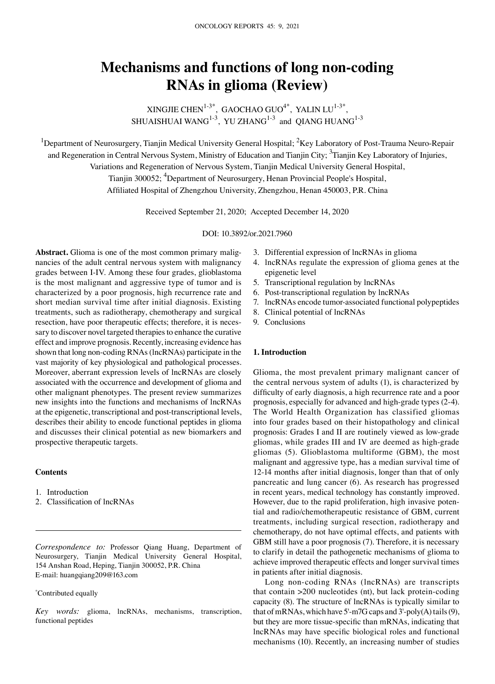# **Mechanisms and functions of long non‑coding RNAs in glioma (Review)**

XINGJIE CHEN<sup>1-3\*</sup>, GAOCHAO GUO<sup>4\*</sup>, YALIN LU<sup>1-3\*</sup>, SHUAISHUAI WANG $^{1-3}$ , YU ZHANG $^{1-3}$  and QIANG HUANG $^{1-3}$ 

<sup>1</sup>Department of Neurosurgery, Tianjin Medical University General Hospital; <sup>2</sup>Key Laboratory of Post-Trauma Neuro-Repair and Regeneration in Central Nervous System, Ministry of Education and Tianjin City; <sup>3</sup>Tianjin Key Laboratory of Injuries, Variations and Regeneration of Nervous System, Tianjin Medical University General Hospital, Tianjin 300052; <sup>4</sup>Department of Neurosurgery, Henan Provincial People's Hospital, Affiliated Hospital of Zhengzhou University, Zhengzhou, Henan 450003, P.R. China

Received September 21, 2020; Accepted December 14, 2020

DOI: 10.3892/or.2021.7960

Abstract. Glioma is one of the most common primary malignancies of the adult central nervous system with malignancy grades between I‑IV. Among these four grades, glioblastoma is the most malignant and aggressive type of tumor and is characterized by a poor prognosis, high recurrence rate and short median survival time after initial diagnosis. Existing treatments, such as radiotherapy, chemotherapy and surgical resection, have poor therapeutic effects; therefore, it is necessary to discover novel targeted therapies to enhance the curative effect and improve prognosis. Recently, increasing evidence has shown that long non-coding RNAs (lncRNAs) participate in the vast majority of key physiological and pathological processes. Moreover, aberrant expression levels of lncRNAs are closely associated with the occurrence and development of glioma and other malignant phenotypes. The present review summarizes new insights into the functions and mechanisms of lncRNAs at the epigenetic, transcriptional and post-transcriptional levels, describes their ability to encode functional peptides in glioma and discusses their clinical potential as new biomarkers and prospective therapeutic targets.

## **Contents**

- 1. Introduction
- 2. Classification of lncRNAs

*Correspondence to:* Professor Qiang Huang, Department of Neurosurgery, Tianjin Medical University General Hospital, 154 Anshan Road, Heping, Tianjin 300052, P.R. China E‑mail: huangqiang209@163.com

### \* Contributed equally

*Key words:* glioma, lncRNAs, mechanisms, transcription, functional peptides

- 3. Differential expression of lncRNAs in glioma
- 4. lncRNAs regulate the expression of glioma genes at the epigenetic level
- 5. Transcriptional regulation by lncRNAs
- 6. Post‑transcriptional regulation by lncRNAs
- 7. lncRNAs encode tumor‑associated functional polypeptides
- 8. Clinical potential of lncRNAs
- 9. Conclusions

### **1. Introduction**

Glioma, the most prevalent primary malignant cancer of the central nervous system of adults (1), is characterized by difficulty of early diagnosis, a high recurrence rate and a poor prognosis, especially for advanced and high‑grade types (2‑4). The World Health Organization has classified gliomas into four grades based on their histopathology and clinical prognosis: Grades I and II are routinely viewed as low‑grade gliomas, while grades III and IV are deemed as high-grade gliomas (5). Glioblastoma multiforme (GBM), the most malignant and aggressive type, has a median survival time of 12‑14 months after initial diagnosis, longer than that of only pancreatic and lung cancer (6). As research has progressed in recent years, medical technology has constantly improved. However, due to the rapid proliferation, high invasive potential and radio/chemotherapeutic resistance of GBM, current treatments, including surgical resection, radiotherapy and chemotherapy, do not have optimal effects, and patients with GBM still have a poor prognosis (7). Therefore, it is necessary to clarify in detail the pathogenetic mechanisms of glioma to achieve improved therapeutic effects and longer survival times in patients after initial diagnosis.

Long non‑coding RNAs (lncRNAs) are transcripts that contain  $>200$  nucleotides (nt), but lack protein-coding capacity (8). The structure of lncRNAs is typically similar to that of mRNAs, which have 5'‑m7G caps and 3'‑poly(A) tails(9), but they are more tissue-specific than mRNAs, indicating that lncRNAs may have specific biological roles and functional mechanisms (10). Recently, an increasing number of studies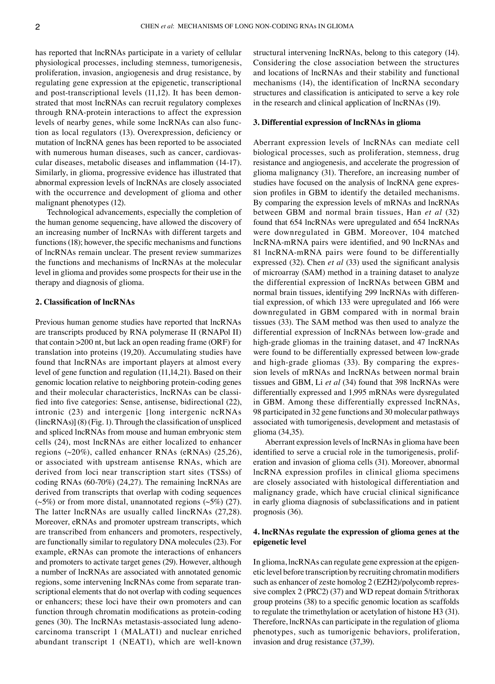has reported that lncRNAs participate in a variety of cellular physiological processes, including stemness, tumorigenesis, proliferation, invasion, angiogenesis and drug resistance, by regulating gene expression at the epigenetic, transcriptional and post-transcriptional levels  $(11,12)$ . It has been demonstrated that most lncRNAs can recruit regulatory complexes through RNA‑protein interactions to affect the expression levels of nearby genes, while some lncRNAs can also function as local regulators (13). Overexpression, deficiency or mutation of lncRNA genes has been reported to be associated with numerous human diseases, such as cancer, cardiovascular diseases, metabolic diseases and inflammation (14‑17). Similarly, in glioma, progressive evidence has illustrated that abnormal expression levels of lncRNAs are closely associated with the occurrence and development of glioma and other malignant phenotypes (12).

Technological advancements, especially the completion of the human genome sequencing, have allowed the discovery of an increasing number of lncRNAs with different targets and functions (18); however, the specific mechanisms and functions of lncRNAs remain unclear. The present review summarizes the functions and mechanisms of lncRNAs at the molecular level in glioma and provides some prospects for their use in the therapy and diagnosis of glioma.

## **2. Classification of lncRNAs**

Previous human genome studies have reported that lncRNAs are transcripts produced by RNA polymerase II (RNAPol II) that contain >200 nt, but lack an open reading frame (ORF) for translation into proteins (19,20). Accumulating studies have found that lncRNAs are important players at almost every level of gene function and regulation (11,14,21). Based on their genomic location relative to neighboring protein‑coding genes and their molecular characteristics, lncRNAs can be classified into five categories: Sense, antisense, bidirectional (22), intronic (23) and intergenic [long intergenic ncRNAs (lincRNAs)] (8) (Fig. 1). Through the classification of unspliced and spliced lncRNAs from mouse and human embryonic stem cells (24), most lncRNAs are either localized to enhancer regions (~20%), called enhancer RNAs (eRNAs) (25,26), or associated with upstream antisense RNAs, which are derived from loci near transcription start sites (TSSs) of coding RNAs (60‑70%) (24,27). The remaining lncRNAs are derived from transcripts that overlap with coding sequences  $(\sim 5\%)$  or from more distal, unannotated regions  $(\sim 5\%)$  (27). The latter lncRNAs are usually called lincRNAs (27,28). Moreover, eRNAs and promoter upstream transcripts, which are transcribed from enhancers and promoters, respectively, are functionally similar to regulatory DNA molecules (23). For example, eRNAs can promote the interactions of enhancers and promoters to activate target genes (29). However, although a number of lncRNAs are associated with annotated genomic regions, some intervening lncRNAs come from separate transcriptional elements that do not overlap with coding sequences or enhancers; these loci have their own promoters and can function through chromatin modifications as protein‑coding genes (30). The lncRNAs metastasis-associated lung adenocarcinoma transcript 1 (MALAT1) and nuclear enriched abundant transcript 1 (NEAT1), which are well-known structural intervening lncRNAs, belong to this category (14). Considering the close association between the structures and locations of lncRNAs and their stability and functional mechanisms (14), the identification of lncRNA secondary structures and classification is anticipated to serve a key role in the research and clinical application of lncRNAs (19).

#### **3. Differential expression of lncRNAs in glioma**

Aberrant expression levels of lncRNAs can mediate cell biological processes, such as proliferation, stemness, drug resistance and angiogenesis, and accelerate the progression of glioma malignancy (31). Therefore, an increasing number of studies have focused on the analysis of lncRNA gene expression profiles in GBM to identify the detailed mechanisms. By comparing the expression levels of mRNAs and lncRNAs between GBM and normal brain tissues, Han *et al* (32) found that 654 lncRNAs were upregulated and 654 lncRNAs were downregulated in GBM. Moreover, 104 matched lncRNA‑mRNA pairs were identified, and 90 lncRNAs and 81 lncRNA‑mRNA pairs were found to be differentially expressed (32). Chen *et al* (33) used the significant analysis of microarray (SAM) method in a training dataset to analyze the differential expression of lncRNAs between GBM and normal brain tissues, identifying 299 lncRNAs with differential expression, of which 133 were upregulated and 166 were downregulated in GBM compared with in normal brain tissues (33). The SAM method was then used to analyze the differential expression of lncRNAs between low‑grade and high-grade gliomas in the training dataset, and 47 lncRNAs were found to be differentially expressed between low-grade and high-grade gliomas (33). By comparing the expression levels of mRNAs and lncRNAs between normal brain tissues and GBM, Li *et al* (34) found that 398 lncRNAs were differentially expressed and 1,995 mRNAs were dysregulated in GBM. Among these differentially expressed lncRNAs, 98 participated in 32 gene functions and 30 molecular pathways associated with tumorigenesis, development and metastasis of glioma (34,35).

Aberrant expression levels of lncRNAs in glioma have been identified to serve a crucial role in the tumorigenesis, proliferation and invasion of glioma cells (31). Moreover, abnormal lncRNA expression profiles in clinical glioma specimens are closely associated with histological differentiation and malignancy grade, which have crucial clinical significance in early glioma diagnosis of subclassifications and in patient prognosis (36).

## **4. lncRNAs regulate the expression of glioma genes at the epigenetic level**

In glioma, lncRNAs can regulate gene expression at the epigenetic level before transcription by recruiting chromatin modifiers such as enhancer of zeste homolog 2 (EZH2)/polycomb repressive complex 2 (PRC2) (37) and WD repeat domain 5/trithorax group proteins (38) to a specific genomic location as scaffolds to regulate the trimethylation or acetylation of histone H3 (31). Therefore, lncRNAs can participate in the regulation of glioma phenotypes, such as tumorigenic behaviors, proliferation, invasion and drug resistance (37,39).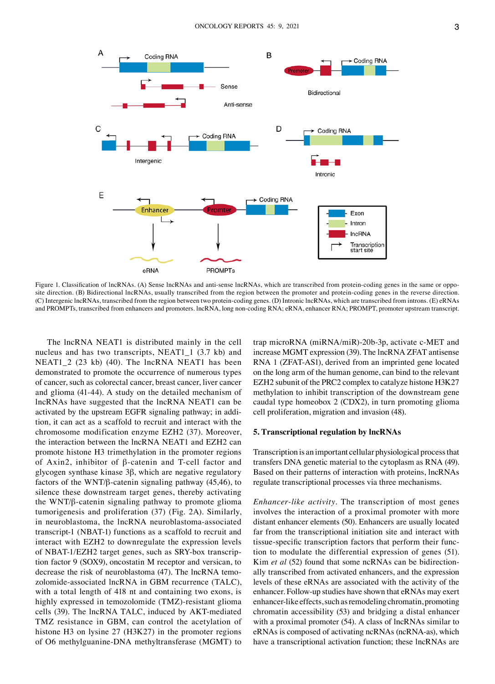

Figure 1. Classification of lncRNAs. (A) Sense lncRNAs and anti-sense lncRNAs, which are transcribed from protein-coding genes in the same or opposite direction. (B) Bidirectional lncRNAs, usually transcribed from the region between the promoter and protein-coding genes in the reverse direction. (C) Intergenic lncRNAs, transcribed from the region between two protein‑coding genes. (D) Intronic lncRNAs, which are transcribed from introns. (E) eRNAs and PROMPTs, transcribed from enhancers and promoters. lncRNA, long non‑coding RNA; eRNA, enhancer RNA; PROMPT, promoter upstream transcript.

The lncRNA NEAT1 is distributed mainly in the cell nucleus and has two transcripts, NEAT1\_1 (3.7 kb) and NEAT1\_2 (23 kb) (40). The lncRNA NEAT1 has been demonstrated to promote the occurrence of numerous types of cancer, such as colorectal cancer, breast cancer, liver cancer and glioma (41‑44). A study on the detailed mechanism of lncRNAs have suggested that the lncRNA NEAT1 can be activated by the upstream EGFR signaling pathway; in addition, it can act as a scaffold to recruit and interact with the chromosome modification enzyme EZH2 (37). Moreover, the interaction between the lncRNA NEAT1 and EZH2 can promote histone H3 trimethylation in the promoter regions of Axin2, inhibitor of β‑catenin and T‑cell factor and glycogen synthase kinase 3β, which are negative regulatory factors of the WNT/β‑catenin signaling pathway (45,46), to silence these downstream target genes, thereby activating the WNT/β‑catenin signaling pathway to promote glioma tumorigenesis and proliferation (37) (Fig. 2A). Similarly, in neuroblastoma, the lncRNA neuroblastoma-associated transcript‑1 (NBAT‑1) functions as a scaffold to recruit and interact with EZH2 to downregulate the expression levels of NBAT-1/EZH2 target genes, such as SRY-box transcription factor 9 (SOX9), oncostatin M receptor and versican, to decrease the risk of neuroblastoma (47). The lncRNA temozolomide‑associated lncRNA in GBM recurrence (TALC), with a total length of 418 nt and containing two exons, is highly expressed in temozolomide (TMZ)-resistant glioma cells (39). The lncRNA TALC, induced by AKT‑mediated TMZ resistance in GBM, can control the acetylation of histone H3 on lysine 27 (H3K27) in the promoter regions of O6 methylguanine‑DNA methyltransferase (MGMT) to

trap microRNA (miRNA/miR)‑20b‑3p, activate c‑MET and increase MGMT expression (39). The lncRNA ZFAT antisense RNA 1 (ZFAT‑AS1), derived from an imprinted gene located on the long arm of the human genome, can bind to the relevant EZH2 subunit of the PRC2 complex to catalyze histone H3K27 methylation to inhibit transcription of the downstream gene caudal type homeobox 2 (CDX2), in turn promoting glioma cell proliferation, migration and invasion (48).

#### **5. Transcriptional regulation by lncRNAs**

Transcription is an important cellular physiological process that transfers DNA genetic material to the cytoplasm as RNA (49). Based on their patterns of interaction with proteins, lncRNAs regulate transcriptional processes via three mechanisms.

*Enhancer‑like activity.* The transcription of most genes involves the interaction of a proximal promoter with more distant enhancer elements (50). Enhancers are usually located far from the transcriptional initiation site and interact with tissue-specific transcription factors that perform their function to modulate the differential expression of genes (51). Kim *et al* (52) found that some ncRNAs can be bidirectionally transcribed from activated enhancers, and the expression levels of these eRNAs are associated with the activity of the enhancer. Follow‑up studies have shown that eRNAs may exert enhancer-like effects, such as remodeling chromatin, promoting chromatin accessibility (53) and bridging a distal enhancer with a proximal promoter (54). A class of lncRNAs similar to eRNAs is composed of activating ncRNAs (ncRNA‑as), which have a transcriptional activation function; these lncRNAs are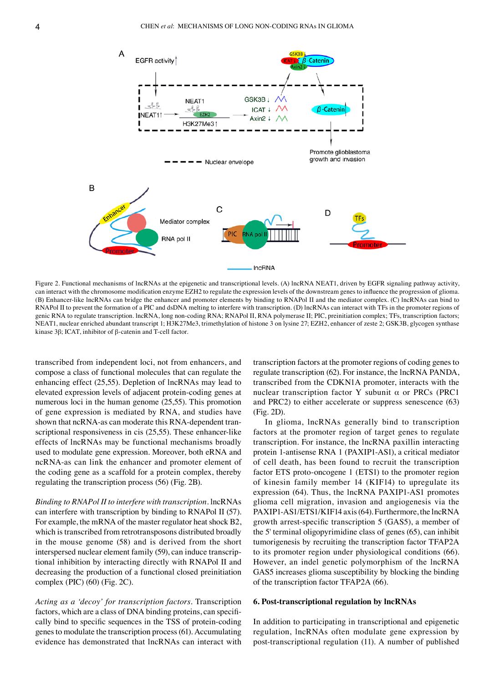

Figure 2. Functional mechanisms of lncRNAs at the epigenetic and transcriptional levels. (A) lncRNA NEAT1, driven by EGFR signaling pathway activity, can interact with the chromosome modification enzyme EZH2 to regulate the expression levels of the downstream genes to influence the progression of glioma. (B) Enhancer‑like lncRNAs can bridge the enhancer and promoter elements by binding to RNAPol II and the mediator complex. (C) lncRNAs can bind to RNAPol II to prevent the formation of a PIC and dsDNA melting to interfere with transcription. (D) lncRNAs can interact with TFs in the promoter regions of genic RNA to regulate transcription. lncRNA, long non‑coding RNA; RNAPol II, RNA polymerase II; PIC, preinitiation complex; TFs, transcription factors; NEAT1, nuclear enriched abundant transcript 1; H3K27Me3, trimethylation of histone 3 on lysine 27; EZH2, enhancer of zeste 2; GSK3B, glycogen synthase kinase 3β; ICAT, inhibitor of β‑catenin and T‑cell factor.

transcribed from independent loci, not from enhancers, and compose a class of functional molecules that can regulate the enhancing effect (25,55). Depletion of lncRNAs may lead to elevated expression levels of adjacent protein‑coding genes at numerous loci in the human genome (25,55). This promotion of gene expression is mediated by RNA, and studies have shown that ncRNA-as can moderate this RNA-dependent transcriptional responsiveness in cis  $(25,55)$ . These enhancer-like effects of lncRNAs may be functional mechanisms broadly used to modulate gene expression. Moreover, both eRNA and ncRNA‑as can link the enhancer and promoter element of the coding gene as a scaffold for a protein complex, thereby regulating the transcription process (56) (Fig. 2B).

*Binding to RNAPol Ⅱ to interfere with transcription.* lncRNAs can interfere with transcription by binding to RNAPol Ⅱ (57). For example, the mRNA of the master regulator heat shock B2, which is transcribed from retrotransposons distributed broadly in the mouse genome (58) and is derived from the short interspersed nuclear element family (59), can induce transcriptional inhibition by interacting directly with RNAPol Ⅱ and decreasing the production of a functional closed preinitiation complex (PIC) (60) (Fig. 2C).

*Acting as a 'decoy' for transcription factors.* Transcription factors, which are a class of DNA binding proteins, can specifically bind to specific sequences in the TSS of protein‑coding genes to modulate the transcription process(61). Accumulating evidence has demonstrated that lncRNAs can interact with

transcription factors at the promoter regions of coding genes to regulate transcription (62). For instance, the lncRNA PANDA, transcribed from the CDKN1A promoter, interacts with the nuclear transcription factor Y subunit α or PRCs (PRC1 and PRC2) to either accelerate or suppress senescence (63) (Fig. 2D).

In glioma, lncRNAs generally bind to transcription factors at the promoter region of target genes to regulate transcription. For instance, the lncRNA paxillin interacting protein 1‑antisense RNA 1 (PAXIP1‑AS1), a critical mediator of cell death, has been found to recruit the transcription factor ETS proto-oncogene 1 (ETS1) to the promoter region of kinesin family member 14 (KIF14) to upregulate its expression (64). Thus, the lncRNA PAXIP1-AS1 promotes glioma cell migration, invasion and angiogenesis via the PAXIP1-AS1/ETS1/KIF14 axis (64). Furthermore, the lncRNA growth arrest‑specific transcription 5 (GAS5), a member of the 5' terminal oligopyrimidine class of genes (65), can inhibit tumorigenesis by recruiting the transcription factor TFAP2A to its promoter region under physiological conditions (66). However, an indel genetic polymorphism of the lncRNA GAS5 increases glioma susceptibility by blocking the binding of the transcription factor TFAP2A (66).

#### **6. Post‑transcriptional regulation by lncRNAs**

In addition to participating in transcriptional and epigenetic regulation, lncRNAs often modulate gene expression by post‑transcriptional regulation (11). A number of published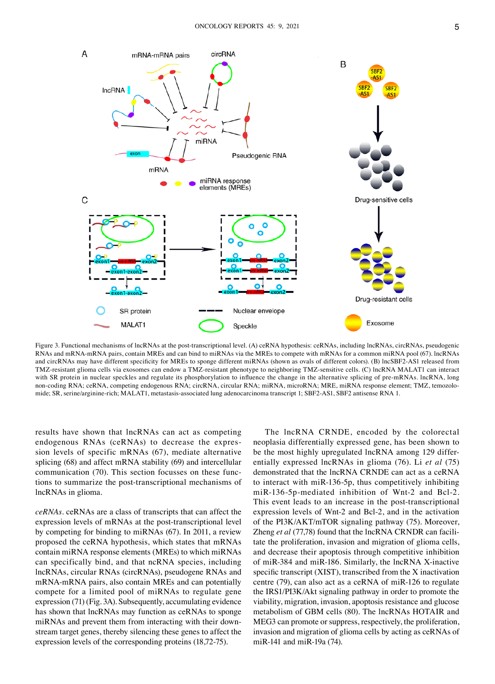

Figure 3. Functional mechanisms of lncRNAs at the post-transcriptional level. (A) ceRNA hypothesis: ceRNAs, including lncRNAs, circRNAs, pseudogenic RNAs and mRNA‑mRNA pairs, contain MREs and can bind to miRNAs via the MREs to compete with mRNAs for a common miRNA pool (67). lncRNAs and circRNAs may have different specificity for MREs to sponge different miRNAs (shown as ovals of different colors). (B) lncSBF2‑AS1 released from TMZ‑resistant glioma cells via exosomes can endow a TMZ‑resistant phenotype to neighboring TMZ‑sensitive cells. (C) lncRNA MALAT1 can interact with SR protein in nuclear speckles and regulate its phosphorylation to influence the change in the alternative splicing of pre-mRNAs. lncRNA, long non-coding RNA; ceRNA, competing endogenous RNA; circRNA, circular RNA; miRNA, microRNA; MRE, miRNA response element; TMZ, temozolomide; SR, serine/arginine-rich; MALAT1, metastasis-associated lung adenocarcinoma transcript 1; SBF2-AS1, SBF2 antisense RNA 1.

results have shown that lncRNAs can act as competing endogenous RNAs (ceRNAs) to decrease the expression levels of specific mRNAs (67), mediate alternative splicing (68) and affect mRNA stability (69) and intercellular communication (70). This section focusses on these functions to summarize the post-transcriptional mechanisms of lncRNAs in glioma.

*ceRNAs.* ceRNAs are a class of transcripts that can affect the expression levels of mRNAs at the post-transcriptional level by competing for binding to miRNAs (67). In 2011, a review proposed the ceRNA hypothesis, which states that mRNAs contain miRNA response elements (MREs) to which miRNAs can specifically bind, and that ncRNA species, including lncRNAs, circular RNAs (circRNAs), pseudogene RNAs and mRNA‑mRNA pairs, also contain MREs and can potentially compete for a limited pool of miRNAs to regulate gene expression (71) (Fig. 3A). Subsequently, accumulating evidence has shown that lncRNAs may function as ceRNAs to sponge miRNAs and prevent them from interacting with their downstream target genes, thereby silencing these genes to affect the expression levels of the corresponding proteins (18,72‑75).

The lncRNA CRNDE, encoded by the colorectal neoplasia differentially expressed gene, has been shown to be the most highly upregulated lncRNA among 129 differentially expressed lncRNAs in glioma (76). Li *et al* (75) demonstrated that the lncRNA CRNDE can act as a ceRNA to interact with miR-136-5p, thus competitively inhibiting miR-136-5p-mediated inhibition of Wnt-2 and Bcl-2. This event leads to an increase in the post-transcriptional expression levels of Wnt-2 and Bcl-2, and in the activation of the PI3K/AKT/mTOR signaling pathway (75). Moreover, Zheng *et al* (77,78) found that the lncRNA CRNDR can facilitate the proliferation, invasion and migration of glioma cells, and decrease their apoptosis through competitive inhibition of miR‑384 and miR‑186. Similarly, the lncRNA X‑inactive specific transcript (XIST), transcribed from the X inactivation centre (79), can also act as a ceRNA of miR‑126 to regulate the IRS1/PI3K/Akt signaling pathway in order to promote the viability, migration, invasion, apoptosis resistance and glucose metabolism of GBM cells (80). The lncRNAs HOTAIR and MEG3 can promote or suppress, respectively, the proliferation, invasion and migration of glioma cells by acting as ceRNAs of miR-141 and miR-19a (74).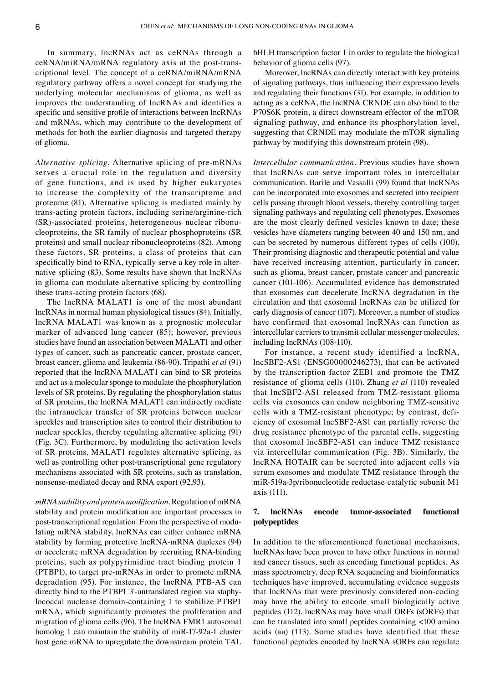In summary, lncRNAs act as ceRNAs through a ceRNA/miRNA/mRNA regulatory axis at the post-transcriptional level. The concept of a ceRNA/miRNA/mRNA regulatory pathway offers a novel concept for studying the underlying molecular mechanisms of glioma, as well as improves the understanding of lncRNAs and identifies a specific and sensitive profile of interactions between lncRNAs and mRNAs, which may contribute to the development of methods for both the earlier diagnosis and targeted therapy of glioma.

*Alternative splicing.* Alternative splicing of pre‑mRNAs serves a crucial role in the regulation and diversity of gene functions, and is used by higher eukaryotes to increase the complexity of the transcriptome and proteome (81). Alternative splicing is mediated mainly by trans‑acting protein factors, including serine/arginine‑rich (SR)-associated proteins, heterogeneous nuclear ribonucleoproteins, the SR family of nuclear phosphoproteins (SR proteins) and small nuclear ribonucleoproteins (82). Among these factors, SR proteins, a class of proteins that can specifically bind to RNA, typically serve a key role in alternative splicing (83). Some results have shown that lncRNAs in glioma can modulate alternative splicing by controlling these trans‑acting protein factors (68).

The lncRNA MALAT1 is one of the most abundant lncRNAs in normal human physiological tissues (84). Initially, lncRNA MALAT1 was known as a prognostic molecular marker of advanced lung cancer (85); however, previous studies have found an association between MALAT1 and other types of cancer, such as pancreatic cancer, prostate cancer, breast cancer, glioma and leukemia (86‑90). Tripathi *et al* (91) reported that the lncRNA MALAT1 can bind to SR proteins and act as a molecular sponge to modulate the phosphorylation levels of SR proteins. By regulating the phosphorylation status of SR proteins, the lncRNA MALAT1 can indirectly mediate the intranuclear transfer of SR proteins between nuclear speckles and transcription sites to control their distribution to nuclear speckles, thereby regulating alternative splicing (91) (Fig. 3C). Furthermore, by modulating the activation levels of SR proteins, MALAT1 regulates alternative splicing, as well as controlling other post-transcriptional gene regulatory mechanisms associated with SR proteins, such as translation, nonsense‑mediated decay and RNA export (92,93).

*mRNA stability and protein modification.* Regulation of mRNA stability and protein modification are important processes in post-transcriptional regulation. From the perspective of modulating mRNA stability, lncRNAs can either enhance mRNA stability by forming protective lncRNA‑mRNA duplexes (94) or accelerate mRNA degradation by recruiting RNA‑binding proteins, such as polypyrimidine tract binding protein 1 (PTBP1), to target pre‑mRNAs in order to promote mRNA degradation (95). For instance, the lncRNA PTB‑AS can directly bind to the PTBP1 3'-untranslated region via staphylococcal nuclease domain‑containing 1 to stabilize PTBP1 mRNA, which significantly promotes the proliferation and migration of glioma cells (96). The lncRNA FMR1 autosomal homolog 1 can maintain the stability of miR-17-92a-1 cluster host gene mRNA to upregulate the downstream protein TAL bHLH transcription factor 1 in order to regulate the biological behavior of glioma cells (97).

Moreover, lncRNAs can directly interact with key proteins of signaling pathways, thus influencing their expression levels and regulating their functions (31). For example, in addition to acting as a ceRNA, the lncRNA CRNDE can also bind to the P70S6K protein, a direct downstream effector of the mTOR signaling pathway, and enhance its phosphorylation level, suggesting that CRNDE may modulate the mTOR signaling pathway by modifying this downstream protein (98).

*Intercellular communication.* Previous studies have shown that lncRNAs can serve important roles in intercellular communication. Barile and Vassalli (99) found that lncRNAs can be incorporated into exosomes and secreted into recipient cells passing through blood vessels, thereby controlling target signaling pathways and regulating cell phenotypes. Exosomes are the most clearly defined vesicles known to date; these vesicles have diameters ranging between 40 and 150 nm, and can be secreted by numerous different types of cells (100). Their promising diagnostic and therapeutic potential and value have received increasing attention, particularly in cancer, such as glioma, breast cancer, prostate cancer and pancreatic cancer (101‑106). Accumulated evidence has demonstrated that exosomes can decelerate lncRNA degradation in the circulation and that exosomal lncRNAs can be utilized for early diagnosis of cancer (107). Moreover, a number of studies have confirmed that exosomal lncRNAs can function as intercellular carriers to transmit cellular messenger molecules, including lncRNAs (108-110).

For instance, a recent study identified a lncRNA, lncSBF2‑AS1 (ENSG00000246273), that can be activated by the transcription factor ZEB1 and promote the TMZ resistance of glioma cells (110). Zhang *et al* (110) revealed that lncSBF2‑AS1 released from TMZ‑resistant glioma cells via exosomes can endow neighboring TMZ‑sensitive cells with a TMZ-resistant phenotype; by contrast, deficiency of exosomal lncSBF2‑AS1 can partially reverse the drug resistance phenotype of the parental cells, suggesting that exosomal lncSBF2‑AS1 can induce TMZ resistance via intercellular communication (Fig. 3B). Similarly, the lncRNA HOTAIR can be secreted into adjacent cells via serum exosomes and modulate TMZ resistance through the miR‑519a‑3p/ribonucleotide reductase catalytic subunit M1 axis (111).

### **7. lncRNAs encode tumor‑associated functional polypeptides**

In addition to the aforementioned functional mechanisms, lncRNAs have been proven to have other functions in normal and cancer tissues, such as encoding functional peptides. As mass spectrometry, deep RNA sequencing and bioinformatics techniques have improved, accumulating evidence suggests that lncRNAs that were previously considered non‑coding may have the ability to encode small biologically active peptides (112). lncRNAs may have small ORFs (sORFs) that can be translated into small peptides containing <100 amino acids (aa) (113). Some studies have identified that these functional peptides encoded by lncRNA sORFs can regulate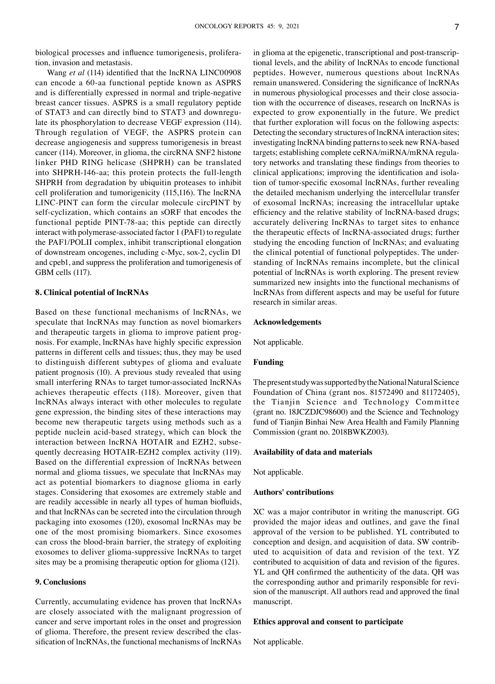biological processes and influence tumorigenesis, proliferation, invasion and metastasis.

Wang *et al* (114) identified that the lncRNA LINC00908 can encode a 60‑aa functional peptide known as ASPRS and is differentially expressed in normal and triple‑negative breast cancer tissues. ASPRS is a small regulatory peptide of STAT3 and can directly bind to STAT3 and downregulate its phosphorylation to decrease VEGF expression (114). Through regulation of VEGF, the ASPRS protein can decrease angiogenesis and suppress tumorigenesis in breast cancer (114). Moreover, in glioma, the circRNA SNF2 histone linker PHD RING helicase (SHPRH) can be translated into SHPRH-146-aa; this protein protects the full-length SHPRH from degradation by ubiquitin proteases to inhibit cell proliferation and tumorigenicity (115,116). The lncRNA LINC‑PINT can form the circular molecule circPINT by self-cyclization, which contains an sORF that encodes the functional peptide PINT‑78‑aa; this peptide can directly interact with polymerase‑associated factor 1 (PAF1) to regulate the PAF1/POLII complex, inhibit transcriptional elongation of downstream oncogenes, including c‑Myc, sox‑2, cyclin D1 and cpeb1, and suppress the proliferation and tumorigenesis of GBM cells (117).

#### **8. Clinical potential of lncRNAs**

Based on these functional mechanisms of lncRNAs, we speculate that lncRNAs may function as novel biomarkers and therapeutic targets in glioma to improve patient prognosis. For example, lncRNAs have highly specific expression patterns in different cells and tissues; thus, they may be used to distinguish different subtypes of glioma and evaluate patient prognosis (10). A previous study revealed that using small interfering RNAs to target tumor-associated lncRNAs achieves therapeutic effects (118). Moreover, given that lncRNAs always interact with other molecules to regulate gene expression, the binding sites of these interactions may become new therapeutic targets using methods such as a peptide nuclein acid‑based strategy, which can block the interaction between lncRNA HOTAIR and EZH2, subsequently decreasing HOTAIR-EZH2 complex activity (119). Based on the differential expression of lncRNAs between normal and glioma tissues, we speculate that lncRNAs may act as potential biomarkers to diagnose glioma in early stages. Considering that exosomes are extremely stable and are readily accessible in nearly all types of human biofluids, and that lncRNAs can be secreted into the circulation through packaging into exosomes (120), exosomal lncRNAs may be one of the most promising biomarkers. Since exosomes can cross the blood‑brain barrier, the strategy of exploiting exosomes to deliver glioma‑suppressive lncRNAs to target sites may be a promising therapeutic option for glioma (121).

## **9. Conclusions**

Currently, accumulating evidence has proven that lncRNAs are closely associated with the malignant progression of cancer and serve important roles in the onset and progression of glioma. Therefore, the present review described the classification of lncRNAs, the functional mechanisms of lncRNAs in glioma at the epigenetic, transcriptional and post-transcriptional levels, and the ability of lncRNAs to encode functional peptides. However, numerous questions about lncRNAs remain unanswered. Considering the significance of lncRNAs in numerous physiological processes and their close association with the occurrence of diseases, research on lncRNAs is expected to grow exponentially in the future. We predict that further exploration will focus on the following aspects: Detecting the secondary structures of lncRNA interaction sites; investigating lncRNA binding patterns to seek new RNA‑based targets; establishing complete ceRNA/miRNA/mRNA regulatory networks and translating these findings from theories to clinical applications; improving the identification and isolation of tumor‑specific exosomal lncRNAs, further revealing the detailed mechanism underlying the intercellular transfer of exosomal lncRNAs; increasing the intracellular uptake efficiency and the relative stability of lncRNA-based drugs; accurately delivering lncRNAs to target sites to enhance the therapeutic effects of lncRNA‑associated drugs; further studying the encoding function of lncRNAs; and evaluating the clinical potential of functional polypeptides. The under‑ standing of lncRNAs remains incomplete, but the clinical potential of lncRNAs is worth exploring. The present review summarized new insights into the functional mechanisms of lncRNAs from different aspects and may be useful for future research in similar areas.

#### **Acknowledgements**

Not applicable.

## **Funding**

The present study was supported by the National Natural Science Foundation of China (grant nos. 81572490 and 81172405), the Tianjin Science and Technology Committee (grant no. 18JCZDJC98600) and the Science and Technology fund of Tianjin Binhai New Area Health and Family Planning Commission (grant no. 2018BWKZ003).

#### **Availability of data and materials**

Not applicable.

### **Authors' contributions**

XC was a major contributor in writing the manuscript. GG provided the major ideas and outlines, and gave the final approval of the version to be published. YL contributed to conception and design, and acquisition of data. SW contributed to acquisition of data and revision of the text. YZ contributed to acquisition of data and revision of the figures. YL and QH confirmed the authenticity of the data. QH was the corresponding author and primarily responsible for revision of the manuscript. All authors read and approved the final manuscript.

#### **Ethics approval and consent to participate**

Not applicable.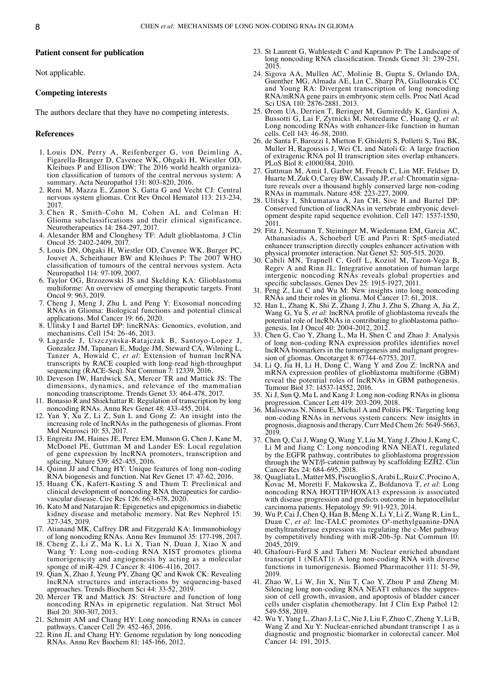#### **Patient consent for publication**

Not applicable.

#### **Competing interests**

The authors declare that they have no competing interests.

#### **References**

- 1. Louis DN, Perry A, Reifenberger G, von Deimling A, Figarella‑Branger D, Cavenee WK, Ohgaki H, Wiestler OD, Kleihues P and Ellison DW: The 2016 world health organization classification of tumors of the central nervous system: A summary. Acta Neuropathol 131: 803‑820, 2016.
- 2. Reni M, Mazza E, Zanon S, Gatta G and Vecht CJ: Central nervous system gliomas. Crit Rev Oncol Hematol 113: 213‑234, 2017.
- 3. Chen R, Smith‑Cohn M, Cohen AL and Colman H: Glioma subclassifications and their clinical significance. Neurotherapeutics 14: 284‑297, 2017.
- 4. Alexander BM and Cloughesy TF: Adult glioblastoma. J Clin Oncol 35: 2402‑2409, 2017.
- 5. Louis DN, Ohgaki H, Wiestler OD, Cavenee WK, Burger PC, Jouvet A, Scheithauer BW and Kleihues P: The 2007 WHO classification of tumours of the central nervous system. Acta Neuropathol 114: 97‑109, 2007.
- 6. Taylor OG, Brzozowski JS and Skelding KA: Glioblastoma multiforme: An overview of emerging therapeutic targets. Front Oncol 9: 963, 2019.
- 7. Cheng J, Meng J, Zhu L and Peng Y: Exosomal noncoding RNAs in Glioma: Biological functions and potential clinical applications. Mol Cancer 19: 66, 2020.
- 8. Ulitsky I and Bartel DP: lincRNAs: Genomics, evolution, and mechanisms. Cell 154: 26‑46, 2013.
- 9. Lagarde J, Uszczynska‑Ratajczak B, Santoyo‑Lopez J, Gonzalez JM, Tapanari E, Mudge JM, Steward CA, Wilming L, Tanzer A, Howald C, *et al*: Extension of human lncRNA transcripts by RACE coupled with long‑read high‑throughput sequencing (RACE-Seq). Nat Commun 7: 12339, 2016.
- 10. Deveson IW, Hardwick SA, Mercer TR and Mattick JS: The dimensions, dynamics, and relevance of the mammalian noncoding transcriptome. Trends Genet 33: 464‑478, 2017.
- 11. Bonasio R and Shiekhattar R: Regulation of transcription by long noncoding RNAs. Annu Rev Genet 48: 433‑455, 2014.
- 12. Yan Y, Xu Z, Li Z, Sun L and Gong Z: An insight into the increasing role of lncRNAs in the pathogenesis of gliomas. Front Mol Neurosci 10: 53, 2017.
- 13. Engreitz JM, Haines JE, Perez EM, Munson G, Chen J, Kane M, McDonel PE, Guttman M and Lander ES: Local regulation of gene expression by lncRNA promoters, transcription and splicing. Nature 539: 452‑455, 2016.
- 14. Quinn JJ and Chang HY: Unique features of long non-coding RNA biogenesis and function. Nat Rev Genet 17: 47‑62, 2016.
- 15. Huang CK, Kafert‑Kasting S and Thum T: Preclinical and clinical development of noncoding RNA therapeutics for cardio‑ vascular disease. Circ Res 126: 663‑678, 2020.
- 16. Kato M and Natarajan R: Epigenetics and epigenomics in diabetic kidney disease and metabolic memory. Nat Rev Nephrol 15: 327‑345, 2019.
- 17. Atianand MK, Caffrey DR and Fitzgerald KA: Immunobiology of long noncoding RNAs. Annu Rev Immunol 35: 177‑198, 2017.
- 18. Cheng Z, Li Z, Ma K, Li X, Tian N, Duan J, Xiao X and Wang Y: Long non‑coding RNA XIST promotes glioma tumorigenicity and angiogenesis by acting as a molecular sponge of miR‑429. J Cancer 8: 4106‑4116, 2017.
- 19. Qian X, Zhao J, Yeung PY, Zhang QC and Kwok CK: Revealing lncRNA structures and interactions by sequencing‑based approaches. Trends Biochem Sci 44: 33‑52, 2019.
- 20. Mercer TR and Mattick JS: Structure and function of long noncoding RNAs in epigenetic regulation. Nat Struct Mol Biol 20: 300‑307, 2013.
- 21. Schmitt AM and Chang HY: Long noncoding RNAs in cancer pathways. Cancer Cell 29: 452‑463, 2016.
- 22. Rinn JL and Chang HY: Genome regulation by long noncoding RNAs. Annu Rev Biochem 81: 145‑166, 2012.
- 23. St Laurent G, Wahlestedt C and Kapranov P: The Landscape of long noncoding RNA classification. Trends Genet 31: 239-251, 2015.
- 24. Sigova AA, Mullen AC, Molinie B, Gupta S, Orlando DA, Guenther MG, Almada AE, Lin C, Sharp PA, Giallourakis CC and Young RA: Divergent transcription of long noncoding RNA/mRNA gene pairs in embryonic stem cells. Proc Natl Acad Sci USA 110: 2876‑2881, 2013.
- 25. Ørom UA, Derrien T, Beringer M, Gumireddy K, Gardini A, Bussotti G, Lai F, Zytnicki M, Notredame C, Huang Q, et al: Long noncoding RNAs with enhancer-like function in human cells. Cell 143: 46‑58, 2010.
- 26. de Santa F, Barozzi I, Mietton F, Ghisletti S, Polletti S, Tusi BK, Muller H, Ragoussis J, Wei CL and Natoli G: A large fraction of extragenic RNA pol II transcription sites overlap enhancers. PLoS Biol 8: e1000384, 2010.
- 27. Guttman M, Amit I, Garber M, French C, Lin MF, Feldser D, Huarte M, Zuk O, Carey BW, Cassady JP, et al: Chromatin signature reveals over a thousand highly conserved large non-coding RNAs in mammals. Nature 458: 223‑227, 2009.
- 28. Ulitsky I, Shkumatava A, Jan CH, Sive H and Bartel DP: opment despite rapid sequence evolution. Cell 147: 1537–1550, 2011.
- 29. Fitz J, Neumann T, Steininger M, Wiedemann EM, Garcia AC, Athanasiadis A, Schoeberl UE and Pavri R: Spt5‑mediated enhancer transcription directly couples enhancer activation with physical promoter interaction. Nat Genet 52: 505‑515, 2020.
- 30. Cabili MN, Trapnell C, Goff L, Koziol M, Tazon‑Vega B, Regev A and Rinn JL: Integrative annotation of human large intergenic noncoding RNAs reveals global properties and specific subclasses. Genes Dev 25: 1915-1927, 2011.
- 31. Peng Z, Liu C and Wu M: New insights into long noncoding RNAs and their roles in glioma. Mol Cancer 17: 61, 2018.
- 32. Han L, Zhang K, Shi Z, Zhang J, Zhu J, Zhu S, Zhang A, Jia Z, Wang G, Yu S, *et al*: lncRNA profile of glioblastoma reveals the potential role of lncRNAs in contributing to glioblastoma pathogenesis. Int J Oncol 40: 2004-2012, 2012.
- 33. Chen G, Cao Y, Zhang L, Ma H, Shen C and Zhao J: Analysis of long non-coding RNA expression profiles identifies novel lncRNA biomarkers in the tumorigenesis and malignant progression of gliomas. Oncotarget 8: 67744-67753, 2017.
- 34. Li Q, Jia H, Li H, Dong C, Wang Y and Zou Z: lncRNA and mRNA expression profiles of glioblastoma multiforme (GBM) reveal the potential roles of lncRNAs in GBM pathogenesis. Tumour Biol 37: 14537‑14552, 2016.
- 35. Xi J, Sun Q, Ma L and Kang J: Long non‑coding RNAs in glioma progression. Cancer Lett 419: 203‑209, 2018.
- 36. Malissovas N, Ninou E, Michail A and Politis PK: Targeting long non‑coding RNAs in nervous system cancers: New insights in prognosis, diagnosis and therapy. Curr Med Chem 26: 5649‑5663, 2019.
- 37. Chen Q, Cai J, Wang Q, Wang Y, Liu M, Yang J, Zhou J, Kang C, Li M and Jiang C: Long noncoding RNA NEAT1, regulated by the EGFR pathway, contributes to glioblastoma progression through the WNT/β‑catenin pathway by scaffolding EZH2. Clin Cancer Res 24: 684‑695, 2018.
- 38. QuagliataL, Matter MS, Piscuoglio S, ArabiL, RuizC, Procino A, Kovac M, Moretti F, Makowska Z, Boldanova T, *et al*: Long noncoding RNA HOTTIP/HOXA13 expression is associated with disease progression and predicts outcome in hepatocellular carcinoma patients. Hepatology 59: 911-923, 2014
- 39. Wu P, Cai J, Chen Q, Han B, Meng X, Li Y, Li Z, Wang R, Lin L, Duan C, et al: lnc-TALC promotes O<sup>6</sup>-methylguanine-DNA methyltransferase expression via regulating the c‑Met pathway by competitively binding with miR‑20b‑3p. Nat Commun 10: 2045, 2019.
- 40. Ghafouri‑Fard S and Taheri M: Nuclear enriched abundant transcript 1 (NEAT1): A long non‑coding RNA with diverse functions in tumorigenesis. Biomed Pharmacother 111: 51-59, 2019.
- 41. Zhao W, Li W, Jin X, Niu T, Cao Y, Zhou P and Zheng M: sion of cell growth, invasion, and apoptosis of bladder cancer cells under cisplatin chemotherapy. Int J Clin Exp Pathol 12: 549‑558, 2019.
- 42. Wu Y, Yang L, Zhao J, Li C, Nie J, Liu F, Zhuo C, Zheng Y, Li B, Wang Z and Xu Y: Nuclear-enriched abundant transcript 1 as a diagnostic and prognostic biomarker in colorectal cancer. Mol Cancer 14: 191, 2015.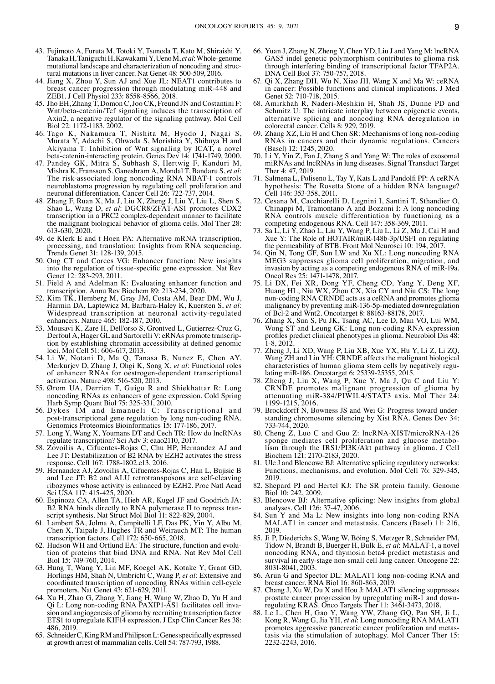- 43. Fujimoto A, Furuta M, Totoki Y, Tsunoda T, Kato M, Shiraishi Y, TanakaH, TaniguchiH, KawakamiY, UenoM, *etal*: Whole‑genome mutational landscape and characterization of noncoding and structural mutations in liver cancer. Nat Genet 48: 500‑509, 2016.
- 44. Jiang X, Zhou Y, Sun AJ and Xue JL: NEAT1 contributes to breast cancer progression through modulating miR‑448 and ZEB1. J Cell Physiol 233: 8558‑8566, 2018.
- 45. Jho EH, Zhang T, Domon C, Joo CK, Freund JN and Costantini F: Wnt/beta‑catenin/Tcf signaling induces the transcription of Axin2, a negative regulator of the signaling pathway. Mol Cell Biol 22: 1172-1183, 2002.
- 46. Tago K, Nakamura T, Nishita M, Hyodo J, Nagai S, Murata Y, Adachi S, Ohwada S, Morishita Y, Shibuya H and Akiyama T: Inhibition of Wnt signaling by ICAT, a novel beta-catenin-interacting protein. Genes Dev 14: 1741-1749, 2000.
- 47. Pandey GK, Mitra S, Subhash S, Hertwig F, Kanduri M, Mishra K, Fransson S, Ganeshram A, Mondal T, Bandaru S, *et al*: The risk-associated long noncoding RNA NBAT-1 controls neuroblastoma progression by regulating cell proliferation and neuronal differentiation. Cancer Cell 26: 722‑737, 2014.
- 48. Zhang F, Ruan X, Ma J, Liu X, Zheng J, Liu Y, Liu L, Shen S, Shao L, Wang D, *et al*: DGCR8/ZFAT‑AS1 promotes CDX2 transcription in a PRC2 complex‑dependent manner to facilitate the malignant biological behavior of glioma cells. Mol Ther 28: 613‑630, 2020.
- 49. de Klerk E and t Hoen PA: Alternative mRNA transcription, processing, and translation: Insights from RNA sequencing. Trends Genet 31: 128‑139, 2015.
- 50. Ong CT and Corces VG: Enhancer function: New insights into the regulation of tissue‑specific gene expression. Nat Rev Genet 12: 283-293, 2011.
- 51. Field A and Adelman K: Evaluating enhancer function and transcription. Annu Rev Biochem 89: 213‑234, 2020.
- 52. Kim T $\hat{K}$ , Hemberg M, Gray JM, Costa AM, Bear DM, Wu J, Harmin DA, Laptewicz M, Barbara‑Haley K, Kuersten S, *et al*: Widespread transcription at neuronal activity-regulated enhancers. Nature 465: 182‑187, 2010.
- 53. Mousavi K, Zare H, Dell'orso S, Grontved L, Gutierrez-Cruz G, Derfoul A, Hager GL and Sartorelli V: eRNAs promote transcription by establishing chromatin accessibility at defined genomic loci. Mol Cell 51: 606‑617, 2013.
- 54. Li W, Notani D, Ma Q, Tanasa B, Nunez E, Chen AY, Merkurjev D, Zhang J, Ohgi K, Song X, *et al*: Functional roles of enhancer RNAs for oestrogen‑dependent transcriptional activation. Nature 498: 516‑520, 2013.
- 55. Ørom UA, Derrien T, Guigo R and Shiekhattar R: Long noncoding RNAs as enhancers of gene expression. Cold Spring Harb Symp Quant Biol 75: 325‑331, 2010.
- 56. Dykes IM and Emanueli C: Transcriptional and post-transcriptional gene regulation by long non-coding RNA. Genomics Proteomics Bioinformatics 15: 177‑186, 2017.
- 57. Long Y, Wang X, Youmans DT and Cech TR: How do lncRNAs regulate transcription? Sci Adv 3: eaao2110, 2017.
- 58. Zovoilis A, Cifuentes‑Rojas C, Chu HP, Hernandez AJ and Lee JT: Destabilization of B2 RNA by EZH2 activates the stress response. Cell 167: 1788‑1802.e13, 2016.
- 59. Hernandez AJ, Zovoilis A, Cifuentes‑Rojas C, Han L, Bujisic B and Lee JT: B2 and ALU retrotransposons are self‑cleaving ribozymes whose activity is enhanced by EZH2. Proc Natl Acad Sci USA 117: 415‑425, 2020.
- 60. Espinoza CA, Allen TA, Hieb AR, Kugel JF and Goodrich JA: script synthesis. Nat Struct Mol Biol 11: 822-829, 2004.
- 61. Lambert SA, Jolma A, Campitelli LF, Das PK, Yin Y, Albu M, Chen X, Taipale J, Hughes TR and Weirauch MT: The human transcription factors. Cell 172: 650‑665, 2018.
- 62. Hudson WH and Ortlund EA: The structure, function and evolution of proteins that bind DNA and RNA. Nat Rev Mol Cell Biol 15: 749‑760, 2014.
- 63. Hung T, Wang Y, Lin MF, Koegel AK, Kotake Y, Grant GD, Horlings HM, Shah N, Umbricht C, Wang P, *et al*: Extensive and coordinated transcription of noncoding RNAs within cell-cycle promoters. Nat Genet 43: 621‑629, 2011.
- 64. Xu H, Zhao G, Zhang Y, Jiang H, Wang W, Zhao D, Yu H and Qi L: Long non-coding RNA PAXIP1-AS1 facilitates cell invasion and angiogenesis of glioma by recruiting transcription factor ETS1 to upregulate KIF14 expression. J Exp Clin Cancer Res 38: 486, 2019.
- 65. SchneiderC,KingRMandPhilipsonL:Genesspecifically expressed at growth arrest of mammalian cells. Cell 54: 787‑793, 1988.
- 66. Yuan J, Zhang N, Zheng Y, Chen YD, Liu J and Yang M: lncRNA GAS5 indel genetic polymorphism contributes to glioma risk through interfering binding of transcriptional factor TFAP2A. DNA Cell Biol 37: 750-757, 2018.
- 67. Qi X, Zhang DH, Wu N, Xiao JH, Wang X and Ma W: ceRNA in cancer: Possible functions and clinical implications. J Med Genet 52: 710-718, 2015.
- 68. Amirkhah R, Naderi‑Meshkin H, Shah JS, Dunne PD and Schmitz U: The intricate interplay between epigenetic events, alternative splicing and noncoding RNA deregulation in colorectal cancer. Cells 8: 929, 2019.
- 69. Zhang XZ, Liu H and Chen SR: Mechanisms of long non‑coding RNAs in cancers and their dynamic regulations. Cancers (Basel) 12: 1245, 2020.
- 70. Li Y, Yin Z, Fan J, Zhang S and Yang W: The roles of exosomal miRNAs and lncRNAs in lung diseases. Signal Transduct Target Ther 4: 47, 2019.
- 71. Salmena L, Poliseno L, Tay Y, Kats L and Pandolfi PP: A ceRNA hypothesis: The Rosetta Stone of a hidden RNA language? Cell 146: 353‑358, 2011.
- 72. Cesana M, Cacchiarelli D, Legnini I, Santini T, Sthandier O, Chinappi M, Tramontano A and Bozzoni I: A long noncoding RNA controls muscle differentiation by functioning as a competing endogenous RNA. Cell 147: 358‑369, 2011.
- 73. Sa L, Li Y, Zhao L, Liu Y, Wang P, Liu L, Li Z, Ma J, Cai H and Xue Y: The Role of HOTAIR/miR‑148b‑3p/USF1 on regulating the permeability of BTB. Front Mol Neurosci 10: 194, 2017
- 74. Qin N, Tong GF, Sun LW and Xu XL: Long noncoding RNA MEG3 suppresses glioma cell proliferation, migration, and invasion by acting as a competing endogenous RNA of miR‑19a. Oncol Res 25: 1471‑1478, 2017.
- 75. Li DX, Fei XR, Dong YF, Cheng CD, Yang Y, Deng XF, Huang HL, Niu WX, Zhou CX, Xia CY and Niu CS: The long non‑coding RNA CRNDE acts as a ceRNA and promotes glioma malignancy by preventing miR-136-5p-mediated downregulation of Bcl‑2 and Wnt2. Oncotarget 8: 88163‑88178, 2017.
- 76. Zhang X, Sun S, Pu JK, Tsang AC, Lee D, Man VO, Lui WM, Wong ST and Leung GK: Long non‑coding RNA expression profiles predict clinical phenotypes in glioma. Neurobiol Dis 48:  $1-8.2012$
- 77. Zheng J, Li XD, Wang P, Liu XB, Xue YX, Hu Y, Li Z, Li ZQ, Wang ZH and Liu YH: CRNDE affects the malignant biological characteristics of human glioma stem cells by negatively regulating miR‑186. Oncotarget 6: 25339‑25355, 2015.
- 78. Zheng J, Liu X, Wang P, Xue Y, Ma J, Qu C and Liu Y: CRNDE promotes malignant progression of glioma by attenuating miR‑384/PIWIL4/STAT3 axis. Mol Ther 24: 1199‑1215, 2016.
- 79. Brockdorff N, Bowness JS and Wei G: Progress toward understanding chromosome silencing by Xist RNA. Genes Dev 34: 733‑744, 2020.
- 80. Cheng Z, Luo C and Guo Z: lncRNA‑XIST/microRNA‑126 sponge mediates cell proliferation and glucose metabolism through the IRS1/PI3K/Akt pathway in glioma. J Cell Biochem 121: 2170‑2183, 2020.
- 81. Ule J and Blencowe BJ: Alternative splicing regulatory networks: Functions, mechanisms, and evolution. Mol Cell 76: 329‑345, 2019.
- 82. Shepard PJ and Hertel KJ: The SR protein family. Genome Biol 10: 242, 2009.
- 83. Blencowe BJ: Alternative splicing: New insights from global analyses. Cell 126: 37‑47, 2006.
- 84. Sun Y and Ma L: New insights into long non‑coding RNA MALAT1 in cancer and metastasis. Cancers (Basel) 11: 216, 2019.
- 85. Ji P, Diederichs S, Wang W, Böing S, Metzger R, Schneider PM, Tidow N, Brandt B, Buerger H, Bulk E, *et al*: MALAT‑1, a novel noncoding RNA, and thymosin beta4 predict metastasis and survival in early-stage non-small cell lung cancer. Oncogene 22: 8031‑8041, 2003.
- 86. Arun G and Spector DL: MALAT1 long non‑coding RNA and breast cancer. RNA Biol 16: 860‑863, 2019.
- 87. Chang J, Xu W, Du X and Hou J: MALAT1 silencing suppresses prostate cancer progression by upregulating miR-1 and downregulating KRAS. Onco Targets Ther 11: 3461‑3473, 2018.
- 88. Le L, Chen H, Gao Y, Wang YW, Zhang GQ, Pan SH, Ji L, Kong R, Wang G, Jia YH, *et al*: Long noncoding RNA MALAT1 promotes aggressive pancreatic cancer proliferation and metas‑ tasis via the stimulation of autophagy. Mol Cancer Ther 15: 2232‑2243, 2016.